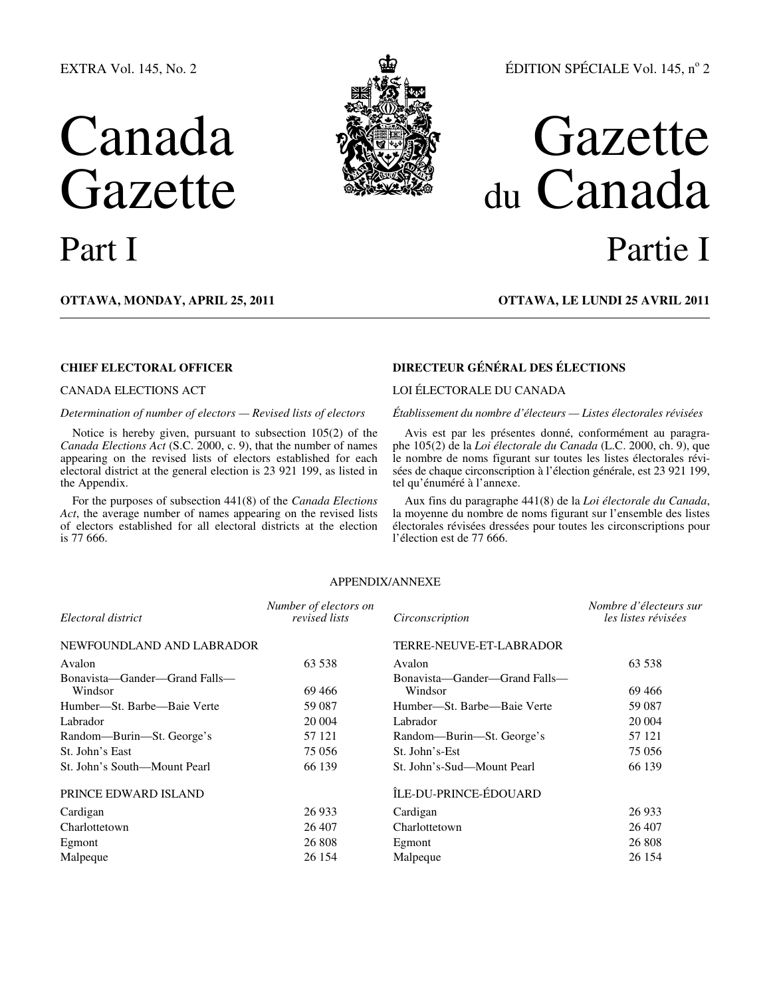## EXTRA Vol. 145, No. 2

# Canada Gazette



## ÉDITION SPÉCIALE Vol. 145, nº 2

## Gazette du Canada Part I Partie I

**OTTAWA, MONDAY, APRIL 25, 2011 OTTAWA, LE LUNDI 25 AVRIL 2011**

Notice is hereby given, pursuant to subsection 105(2) of the *Canada Elections Act* (S.C. 2000, c. 9), that the number of names appearing on the revised lists of electors established for each electoral district at the general election is 23 921 199, as listed in the Appendix.

For the purposes of subsection 441(8) of the *Canada Elections Act*, the average number of names appearing on the revised lists of electors established for all electoral districts at the election is 77 666.

## **CHIEF ELECTORAL OFFICER DIRECTEUR GÉNÉRAL DES ÉLECTIONS**

## CANADA ELECTIONS ACT LOI ÉLECTORALE DU CANADA

*Determination of number of electors — Revised lists of electors Établissement du nombre d'électeurs — Listes électorales révisées* 

Avis est par les présentes donné, conformément au paragraphe 105(2) de la *Loi électorale du Canada* (L.C. 2000, ch. 9), que le nombre de noms figurant sur toutes les listes électorales révisées de chaque circonscription à l'élection générale, est 23 921 199, tel qu'énuméré à l'annexe.

Aux fins du paragraphe 441(8) de la *Loi électorale du Canada*, la moyenne du nombre de noms figurant sur l'ensemble des listes électorales révisées dressées pour toutes les circonscriptions pour l'élection est de 77 666.

## APPENDIX/ANNEXE

| Number of electors on<br>revised lists | Circonscription                          | Nombre d'électeurs sur<br>les listes révisées |
|----------------------------------------|------------------------------------------|-----------------------------------------------|
|                                        | TERRE-NEUVE-ET-LABRADOR                  |                                               |
| 63 538                                 | Avalon                                   | 63 538                                        |
| 69 466                                 | Bonavista—Gander—Grand Falls—<br>Windsor | 69 466                                        |
| 59 087                                 | Humber—St. Barbe—Baie Verte              | 59 087                                        |
| 20 004                                 | Labrador                                 | 20 004                                        |
| 57 121                                 | Random-Burin-St. George's                | 57 121                                        |
| 75 056                                 | St. John's-Est                           | 75 056                                        |
| 66 139                                 | St. John's-Sud—Mount Pearl               | 66 139                                        |
|                                        | ÎLE-DU-PRINCE-ÉDOUARD                    |                                               |
| 26 933                                 | Cardigan                                 | 26 933                                        |
| 26 407                                 | Charlottetown                            | 26 407                                        |
| 26 808                                 | Egmont                                   | 26 808                                        |
| 26 154                                 | Malpeque                                 | 26 154                                        |
|                                        |                                          |                                               |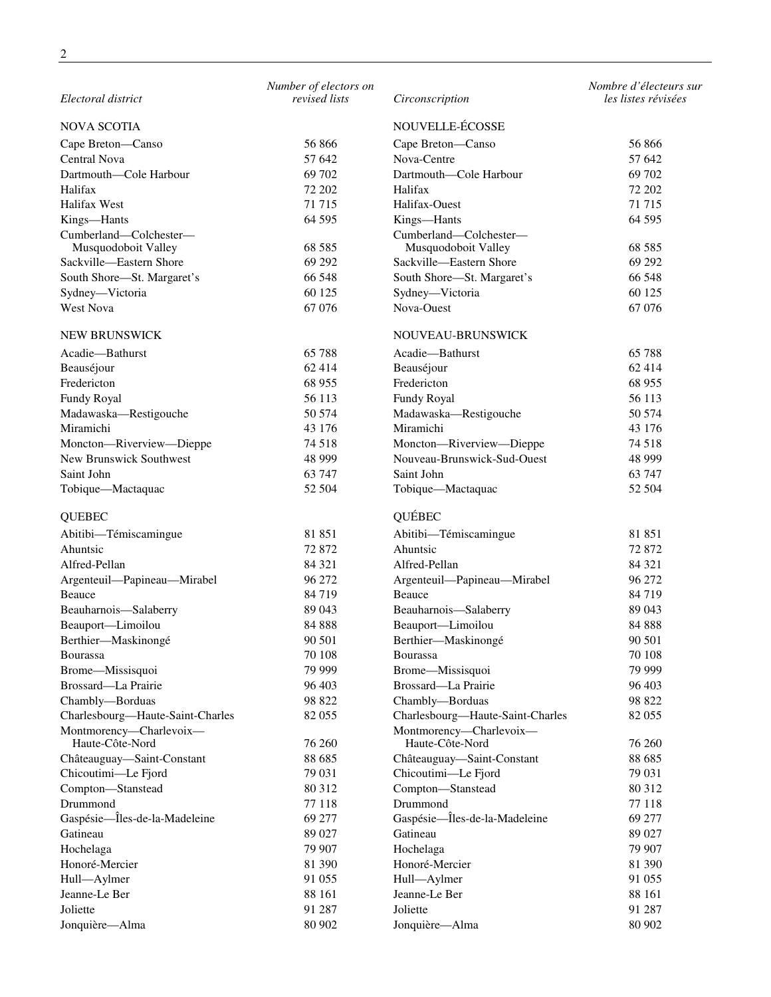| Electoral district                            | Number of electors on<br>revised lists | Circonscription                               | Nombre d'électeurs sur<br>les listes révisées |
|-----------------------------------------------|----------------------------------------|-----------------------------------------------|-----------------------------------------------|
| <b>NOVA SCOTIA</b>                            |                                        | NOUVELLE-ÉCOSSE                               |                                               |
| Cape Breton-Canso                             | 56866                                  | Cape Breton-Canso                             | 56 866                                        |
| Central Nova                                  | 57 642                                 | Nova-Centre                                   | 57 642                                        |
| Dartmouth-Cole Harbour                        | 69 702                                 | Dartmouth-Cole Harbour                        | 69 702                                        |
| Halifax                                       | 72 202                                 |                                               |                                               |
|                                               |                                        | Halifax                                       | 72 202                                        |
| Halifax West                                  | 71 715                                 | Halifax-Ouest                                 | 71 715                                        |
| Kings-Hants                                   | 64 5 95                                | Kings-Hants                                   | 64 5 95                                       |
| Cumberland-Colchester-<br>Musquodoboit Valley | 68 5 8 5                               | Cumberland-Colchester-<br>Musquodoboit Valley | 68 5 8 5                                      |
| Sackville-Eastern Shore                       | 69 29 2                                | Sackville-Eastern Shore                       | 69 29 2                                       |
|                                               |                                        |                                               |                                               |
| South Shore-St. Margaret's                    | 66 548                                 | South Shore-St. Margaret's                    | 66 548                                        |
| Sydney-Victoria                               | 60 125                                 | Sydney-Victoria                               | 60 125                                        |
| West Nova                                     | 67 076                                 | Nova-Ouest                                    | 67 076                                        |
| <b>NEW BRUNSWICK</b>                          |                                        | NOUVEAU-BRUNSWICK                             |                                               |
| Acadie-Bathurst                               | 65 788                                 | Acadie-Bathurst                               | 65 788                                        |
| Beauséjour                                    | 62 414                                 | Beauséjour                                    | 62 4 14                                       |
| Fredericton                                   | 68 955                                 | Fredericton                                   | 68 955                                        |
| Fundy Royal                                   | 56 113                                 | <b>Fundy Royal</b>                            | 56 113                                        |
| Madawaska-Restigouche                         | 50 574                                 | Madawaska-Restigouche                         | 50 574                                        |
| Miramichi                                     | 43 176                                 | Miramichi                                     | 43 176                                        |
| Moncton-Riverview-Dieppe                      | 74 518                                 | Moncton-Riverview-Dieppe                      | 74 5 18                                       |
| New Brunswick Southwest                       | 48 9 9 9                               | Nouveau-Brunswick-Sud-Ouest                   | 48 9 9 9                                      |
| Saint John                                    | 63 747                                 | Saint John                                    | 63 747                                        |
| Tobique-Mactaquac                             | 52 504                                 | Tobique-Mactaquac                             | 52 504                                        |
| <b>QUEBEC</b>                                 |                                        | QUÉBEC                                        |                                               |
| Abitibi-Témiscamingue                         | 81 851                                 | Abitibi-Témiscamingue                         | 81 851                                        |
| Ahuntsic                                      | 72 872                                 | Ahuntsic                                      | 72 872                                        |
| Alfred-Pellan                                 | 84 321                                 | Alfred-Pellan                                 | 84 321                                        |
| Argenteuil-Papineau-Mirabel                   | 96 272                                 | Argenteuil-Papineau-Mirabel                   | 96 272                                        |
| Beauce                                        | 84 719                                 | Beauce                                        | 84 7 19                                       |
|                                               | 89 043                                 | Beauharnois-Salaberry                         | 89 043                                        |
| Beauharnois-Salaberry<br>Beauport-Limoilou    | 84 888                                 | Beauport-Limoilou                             | 84 888                                        |
|                                               |                                        |                                               |                                               |
| Berthier-Maskinongé                           | 90 501                                 | Berthier-Maskinongé                           | 90 501                                        |
| <b>Bourassa</b>                               | 70 108                                 | <b>Bourassa</b>                               | 70 108                                        |
| Brome-Missisquoi                              | 79 999                                 | Brome-Missisquoi                              | 79 999                                        |
| Brossard—La Prairie                           | 96 403                                 | Brossard-La Prairie                           | 96 403                                        |
| Chambly-Borduas                               | 98 822                                 | Chambly-Borduas                               | 98 822                                        |
| Charlesbourg-Haute-Saint-Charles              | 82 055                                 | Charlesbourg-Haute-Saint-Charles              | 82 055                                        |
| Montmorency-Charlevoix-<br>Haute-Côte-Nord    | 76 260                                 | Montmorency-Charlevoix-<br>Haute-Côte-Nord    | 76 260                                        |
| Châteauguay-Saint-Constant                    | 88 685                                 | Châteauguay-Saint-Constant                    | 88 685                                        |
| Chicoutimi-Le Fjord                           | 79 031                                 | Chicoutimi-Le Fjord                           | 79 031                                        |
| Compton-Stanstead                             | 80 312                                 | Compton-Stanstead                             | 80 312                                        |
| Drummond                                      | 77 118                                 | Drummond                                      | 77 118                                        |
| Gaspésie-Îles-de-la-Madeleine                 | 69 277                                 | Gaspésie-Îles-de-la-Madeleine                 | 69 277                                        |
| Gatineau                                      | 89 027                                 | Gatineau                                      | 89 027                                        |
| Hochelaga                                     | 79 907                                 | Hochelaga                                     | 79 907                                        |
| Honoré-Mercier                                | 81 390                                 | Honoré-Mercier                                | 81 390                                        |
|                                               |                                        |                                               |                                               |
| Hull-Aylmer                                   | 91 055                                 | Hull-Aylmer                                   | 91 055                                        |
| Jeanne-Le Ber                                 | 88 161                                 | Jeanne-Le Ber                                 | 88 161                                        |
| Joliette                                      | 91 287                                 | Joliette                                      | 91 287                                        |
| Jonquière-Alma                                | 80 902                                 | Jonquière-Alma                                | 80 902                                        |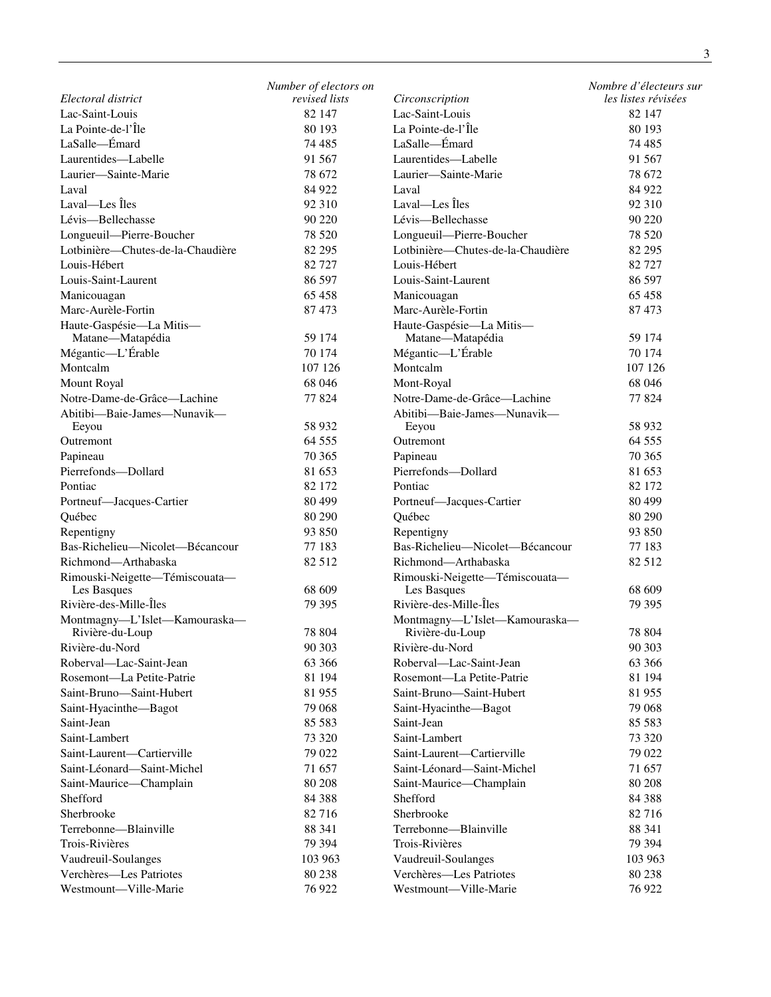|                                                  | Number of electors on |                                                  | Nombre d'électeurs sur |
|--------------------------------------------------|-----------------------|--------------------------------------------------|------------------------|
| Electoral district                               | revised lists         | Circonscription                                  | les listes révisées    |
| Lac-Saint-Louis                                  | 82 147                | Lac-Saint-Louis                                  | 82 147                 |
| La Pointe-de-l'Île                               | 80 193                | La Pointe-de-l'Île                               | 80 193                 |
| LaSalle-Emard                                    | 74 485                | LaSalle-Emard                                    | 74 485                 |
| Laurentides-Labelle                              | 91 567                | Laurentides-Labelle                              | 91 5 67                |
| Laurier-Sainte-Marie                             | 78 672                | Laurier-Sainte-Marie                             | 78 672                 |
| Laval                                            | 84 922                | Laval                                            | 84 922                 |
| Laval-Les Îles                                   | 92 310                | Laval—Les Îles                                   | 92 310                 |
| Lévis-Bellechasse                                | 90 220                | Lévis-Bellechasse                                | 90 220                 |
| Longueuil-Pierre-Boucher                         | 78 5 20               | Longueuil-Pierre-Boucher                         | 78 5 20                |
| Lotbinière-Chutes-de-la-Chaudière                | 82 29 5               | Lotbinière-Chutes-de-la-Chaudière                | 82 295                 |
| Louis-Hébert                                     | 82 727                | Louis-Hébert                                     | 82 727                 |
| Louis-Saint-Laurent                              | 86 597                | Louis-Saint-Laurent                              | 86 597                 |
| Manicouagan                                      | 65 458                | Manicouagan                                      | 65 458                 |
| Marc-Aurèle-Fortin                               | 87473                 | Marc-Aurèle-Fortin                               | 87473                  |
| Haute-Gaspésie-La Mitis-                         |                       | Haute-Gaspésie-La Mitis-                         |                        |
| Matane-Matapédia                                 | 59 174                | Matane-Matapédia                                 | 59 174                 |
| Mégantic-L'Érable                                | 70 174                | Mégantic-L'Érable                                | 70 174                 |
| Montcalm                                         | 107 126               | Montcalm                                         | 107 126                |
| <b>Mount Royal</b>                               | 68 046                | Mont-Royal                                       | 68 046                 |
| Notre-Dame-de-Grâce-Lachine                      | 77 824                | Notre-Dame-de-Grâce-Lachine                      | 77 824                 |
| Abitibi-Baie-James-Nunavik-                      |                       | Abitibi-Baie-James-Nunavik-                      |                        |
| Eeyou                                            | 58 9 32               | Eeyou                                            | 58 9 32                |
| Outremont                                        | 64 5 5 5              | Outremont                                        | 64 5 5 5               |
| Papineau                                         | 70 365                | Papineau                                         | 70 365                 |
| Pierrefonds-Dollard                              | 81 653                | Pierrefonds-Dollard                              | 81 653                 |
| Pontiac                                          | 82 172                | Pontiac                                          | 82 172                 |
| Portneuf-Jacques-Cartier                         | 80 499                | Portneuf-Jacques-Cartier                         | 80 4 99                |
| Québec                                           | 80 290                | Québec                                           | 80 290                 |
| Repentigny                                       | 93 850                | Repentigny                                       | 93 850                 |
| Bas-Richelieu-Nicolet-Bécancour                  | 77 183                | Bas-Richelieu-Nicolet-Bécancour                  | 77 183                 |
| Richmond-Arthabaska                              | 82 512                | Richmond-Arthabaska                              | 82 512                 |
| Rimouski-Neigette-Témiscouata-                   |                       | Rimouski-Neigette-Témiscouata-                   |                        |
| Les Basques                                      | 68 609                | Les Basques                                      | 68 609                 |
| Rivière-des-Mille-Îles                           | 79 395                | Rivière-des-Mille-Îles                           | 79 395                 |
| Montmagny-L'Islet-Kamouraska-<br>Rivière-du-Loup | 78 804                | Montmagny-L'Islet-Kamouraska-<br>Rivière-du-Loup | 78 804                 |
| Rivière-du-Nord                                  | 90 30 3               | Rivière-du-Nord                                  | 90 30 3                |
| Roberval—Lac-Saint-Jean                          | 63 366                | Roberval—Lac-Saint-Jean                          | 63 366                 |
| Rosemont-La Petite-Patrie                        | 81 194                | Rosemont—La Petite-Patrie                        | 81 194                 |
| Saint-Bruno-Saint-Hubert                         | 81 955                | Saint-Bruno-Saint-Hubert                         | 81955                  |
| Saint-Hyacinthe-Bagot                            | 79 068                | Saint-Hyacinthe-Bagot                            | 79 068                 |
| Saint-Jean                                       | 85 5 83               | Saint-Jean                                       | 85 5 83                |
| Saint-Lambert                                    | 73 320                | Saint-Lambert                                    | 73 320                 |
| Saint-Laurent-Cartierville                       | 79 022                | Saint-Laurent-Cartierville                       | 79 022                 |
| Saint-Léonard-Saint-Michel                       | 71 657                | Saint-Léonard-Saint-Michel                       | 71 657                 |
| Saint-Maurice-Champlain                          | 80 20 8               | Saint-Maurice-Champlain                          | 80 20 8                |
| Shefford                                         | 84 3 88               | Shefford                                         | 84 3 88                |
| Sherbrooke                                       | 82 716                | Sherbrooke                                       | 82 716                 |
| Terrebonne—Blainville                            | 88 341                | Terrebonne—Blainville                            | 88 341                 |
| Trois-Rivières                                   | 79 394                | Trois-Rivières                                   | 79 394                 |
| Vaudreuil-Soulanges                              | 103 963               | Vaudreuil-Soulanges                              | 103 963                |
| Verchères-Les Patriotes                          | 80 238                | Verchères-Les Patriotes                          | 80 238                 |
| Westmount-Ville-Marie                            | 76 922                | Westmount-Ville-Marie                            | 76 922                 |
|                                                  |                       |                                                  |                        |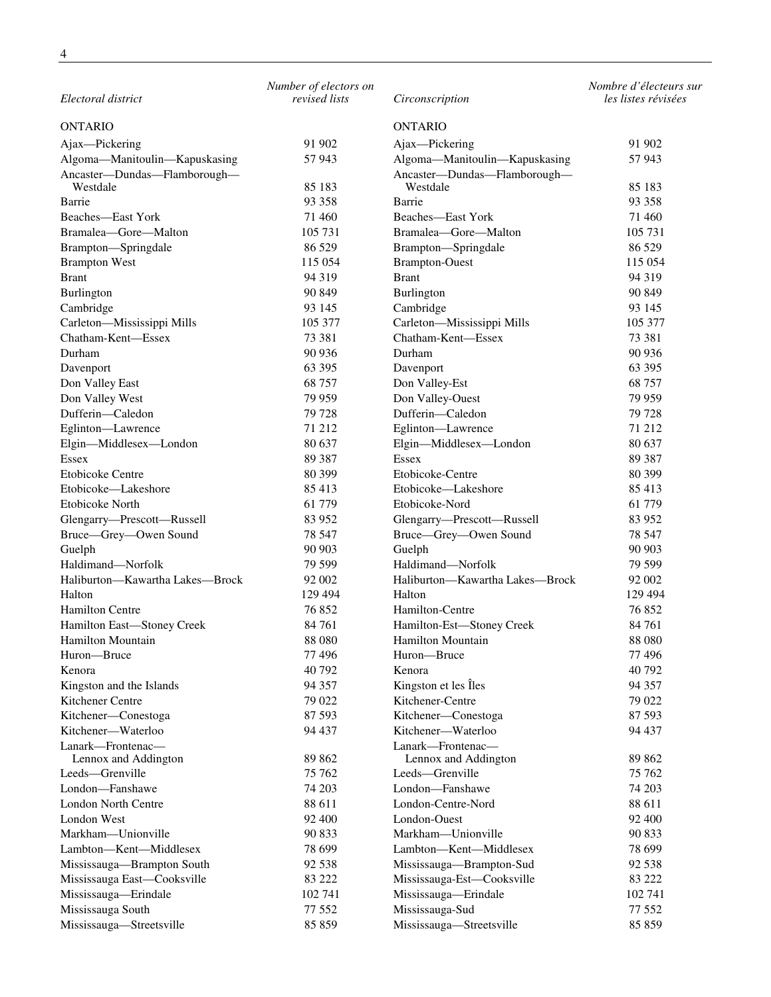*Electoral district Number of electors on revised lists Circonscription Nombre d'électeurs sur les listes révisées* ONTARIO ONTARIO Ajax—Pickering 91 902 Ajax—Pickering 91 902 Algoma—Manitoulin—Kapuskasing 57 943 Algoma—Manitoulin—Kapuskasing 57 943 Ancaster—Dundas—Flamborough— Westdale 85 183<br>Barrie 93 358 Ancaster—Dundas—Flamborough— Westdale 85 183 Barrie 93 358 Barrie 93 358 Beaches—East York 71 460 Beaches—East York 71 460 Bramalea—Gore—Malton 105 731 Bramalea—Gore—Malton 105 731 Brampton—Springdale 86 529 Brampton—Springdale 86 529 Brampton West 115 054 Brampton-Ouest 115 054 Brampton-Ouest 115 054 Brant 94 319 Brant 94 319 Brant 94 319 Burlington 90 849 Burlington 90 849 Cambridge 93 145 Cambridge 93 145 Carleton—Mississippi Mills 105 377 Carleton—Mississippi Mills 105 377 Chatham-Kent—Essex 73 381 Chatham-Kent—Essex 73 381 Durham 90 936 Durham 90 936 Davenport 63 395 Davenport 63 395 Don Valley East 68 757 Don Valley-Est 68 757 Don Valley West 79 959 Don Valley-Ouest 79 959 Dufferin—Caledon 79 728 Dufferin—Caledon 79 728 Eglinton—Lawrence 71 212 Eglinton—Lawrence 71 212 Elgin—Middlesex—London 80 637 Elgin—Middlesex—London 80 637 Essex 89 387 Essex 89 387 and 59 387 and 59 387 and 59 387 and 59 387 and 59 387 and 59 387 and 59 387 and 59 387 Etobicoke Centre 80 399 Etobicoke-Centre 80 399 Etobicoke—Lakeshore 85 413 Etobicoke—Lakeshore 85 413 Etobicoke North 61 779 Etobicoke-Nord 61 779 Glengarry—Prescott—Russell 83 952 Glengarry—Prescott—Russell 83 952 Bruce—Grey—Owen Sound 78 547 Bruce—Grey—Owen Sound 78 547 Guelph 90 903 Guelph 90 903 Guelph 90 903 Haldimand—Norfolk 79 599 Haldimand—Norfolk 79 599 Haliburton—Kawartha Lakes—Brock 92 002 Haliburton—Kawartha Lakes—Brock 92 002 Halton 129 494 Halton 129 494 Hamilton Centre 76 852 Hamilton-Centre 76 852 Hamilton East—Stoney Creek 84 761 Hamilton-Est—Stoney Creek 84 761 Hamilton Mountain 88 080 Hamilton Mountain 88 080 Huron—Bruce 77 496 Huron—Bruce 77 496 Kenora 40 792 Kenora 40 792 Kingston and the Islands 94 357 Kingston et les Îles 94 357 Superior et les Îles 94 357 Kitchener Centre 79 022 Kitchener-Centre 79 022 Kitchener—Conestoga 87 593 Kitchener—Conestoga 87 593 Kitchener—Waterloo 94 437 Kitchener—Waterloo 94 437 Lanark—Frontenac— Lennox and Addington 89 862 Lanark—Frontenac— Lennox and Addington 89 862 Leeds—Grenville 75 762 Leeds—Grenville 75 762 London—Fanshawe 74 203 London—Fanshawe 74 203 London North Centre 88 611 London-Centre-Nord 88 611 London West 92 400 London-Ouest 92 400 Markham—Unionville 90 833 Markham—Unionville 90 833 Lambton—Kent—Middlesex 78 699 Lambton—Kent—Middlesex 78 699 Mississauga—Brampton South 92 538 Mississauga—Brampton-Sud 92 538 Mississauga East—Cooksville 83 222 Mississauga-Est—Cooksville 83 222 Mississauga—Erindale 102 741 Mississauga—Erindale 102 741 Mississauga South 77 552 Mississauga-Sud 77 552 Mississauga—Streetsville 85 859 Mississauga—Streetsville 85 859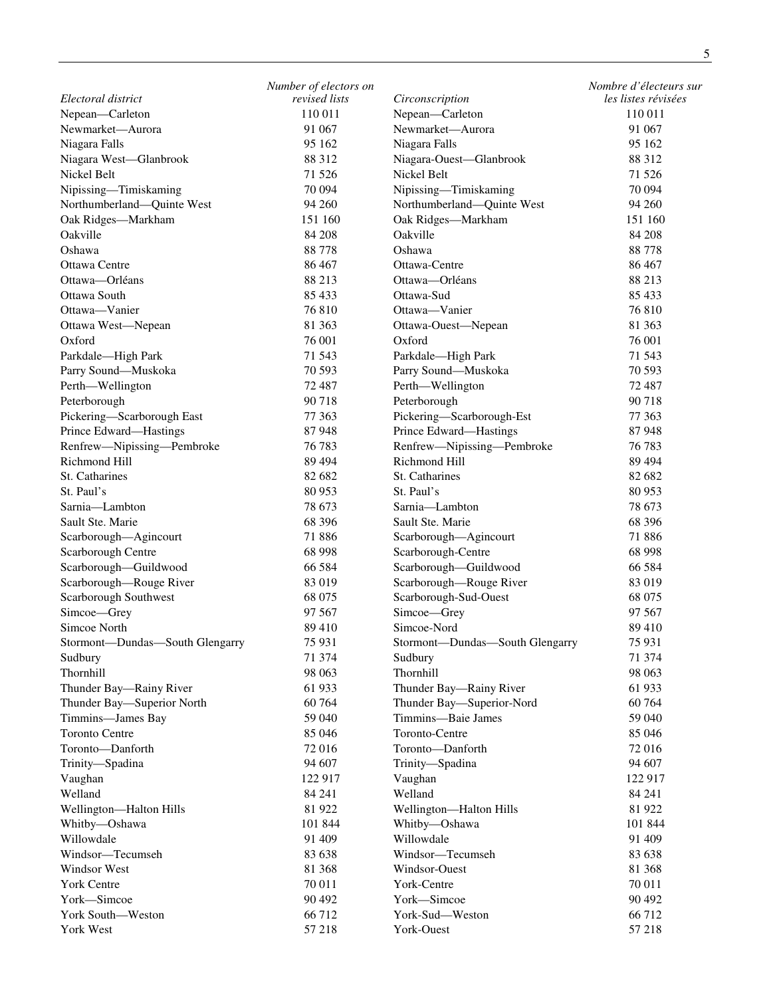|                                 | Number of electors on |                                 | Nombre d'électeurs sur |
|---------------------------------|-----------------------|---------------------------------|------------------------|
| Electoral district              | revised lists         | Circonscription                 | les listes révisées    |
| Nepean-Carleton                 | 110 011               | Nepean-Carleton                 | 110 011                |
| Newmarket-Aurora                | 91 067                | Newmarket-Aurora                | 91 067                 |
| Niagara Falls                   | 95 162                | Niagara Falls                   | 95 162                 |
| Niagara West-Glanbrook          | 88 312                | Niagara-Ouest-Glanbrook         | 88 312                 |
| Nickel Belt                     | 71 526                | Nickel Belt                     | 71 5 26                |
| Nipissing-Timiskaming           | 70 094                | Nipissing-Timiskaming           | 70 094                 |
| Northumberland-Quinte West      | 94 260                | Northumberland-Quinte West      | 94 260                 |
| Oak Ridges-Markham              | 151 160               | Oak Ridges-Markham              | 151 160                |
| Oakville                        | 84 208                | Oakville                        | 84 208                 |
| Oshawa                          | 88 778                | Oshawa                          | 88 778                 |
| Ottawa Centre                   | 86 467                | Ottawa-Centre                   | 86 467                 |
| Ottawa-Orléans                  | 88 213                | Ottawa-Orléans                  | 88 213                 |
| Ottawa South                    | 85 433                | Ottawa-Sud                      | 85 433                 |
| Ottawa-Vanier                   | 76 810                | Ottawa-Vanier                   | 76 810                 |
| Ottawa West-Nepean              | 81 363                | Ottawa-Ouest-Nepean             | 81 363                 |
| Oxford                          | 76 001                | Oxford                          | 76 001                 |
| Parkdale-High Park              | 71 543                | Parkdale-High Park              | 71 543                 |
| Parry Sound-Muskoka             | 70 593                | Parry Sound-Muskoka             | 70 593                 |
| Perth-Wellington                | 72 487                | Perth-Wellington                | 72 487                 |
| Peterborough                    | 90718                 | Peterborough                    | 90 718                 |
| Pickering-Scarborough East      | 77 363                | Pickering-Scarborough-Est       | 77 363                 |
| Prince Edward-Hastings          | 87948                 | Prince Edward-Hastings          | 87948                  |
| Renfrew-Nipissing-Pembroke      | 76 783                | Renfrew-Nipissing-Pembroke      | 76 783                 |
| Richmond Hill                   | 89 4 94               | Richmond Hill                   | 89 4 94                |
| St. Catharines                  | 82 682                | St. Catharines                  | 82 682                 |
| St. Paul's                      | 80 953                | St. Paul's                      | 80 953                 |
| Sarnia-Lambton                  | 78 673                | Sarnia-Lambton                  | 78 673                 |
| Sault Ste. Marie                | 68 39 6               | Sault Ste. Marie                | 68 39 6                |
| Scarborough-Agincourt           | 71 886                | Scarborough-Agincourt           | 71 886                 |
| Scarborough Centre              | 68 998                | Scarborough-Centre              | 68 998                 |
| Scarborough-Guildwood           | 66 584                | Scarborough-Guildwood           | 66 584                 |
| Scarborough-Rouge River         | 83 019                | Scarborough-Rouge River         | 83 019                 |
| Scarborough Southwest           | 68 075                | Scarborough-Sud-Ouest           | 68 075                 |
| Simcoe-Grey                     | 97 567                | Simcoe-Grey                     | 97 567                 |
| Simcoe North                    | 89 410                | Simcoe-Nord                     | 89 410                 |
| Stormont-Dundas-South Glengarry | 75 931                | Stormont-Dundas-South Glengarry | 75 931                 |
| Sudbury                         | 71 374                | Sudbury                         | 71 374                 |
| Thornhill                       | 98 063                | Thornhill                       | 98 063                 |
| Thunder Bay—Rainy River         | 61 933                | Thunder Bay—Rainy River         | 61 933                 |
| Thunder Bay—Superior North      | 60 764                | Thunder Bay-Superior-Nord       | 60 764                 |
| Timmins-James Bay               | 59 040                | Timmins-Baie James              | 59 040                 |
| <b>Toronto Centre</b>           | 85 046                | Toronto-Centre                  | 85 046                 |
| Toronto-Danforth                | 72 016                | Toronto-Danforth                | 72 016                 |
| Trinity-Spadina                 | 94 607                | Trinity-Spadina                 | 94 607                 |
| Vaughan                         | 122 917               | Vaughan                         | 122917                 |
| Welland                         | 84 24 1               | Welland                         | 84 24 1                |
| Wellington-Halton Hills         | 81 922                | Wellington-Halton Hills         | 81 922                 |
| Whitby-Oshawa                   | 101 844               | Whitby-Oshawa                   | 101 844                |
| Willowdale                      | 91 409                | Willowdale                      | 91 409                 |
| Windsor-Tecumseh                | 83 638                | Windsor-Tecumseh                | 83 638                 |
| Windsor West                    | 81 368                | Windsor-Ouest                   | 81 368                 |
| York Centre                     | 70 011                | York-Centre                     | 70 011                 |
| York-Simcoe                     | 90 492                | York-Simcoe                     | 90 492                 |
| York South-Weston               | 66 712                | York-Sud-Weston                 | 66 712                 |
| York West                       | 57 218                | York-Ouest                      | 57 218                 |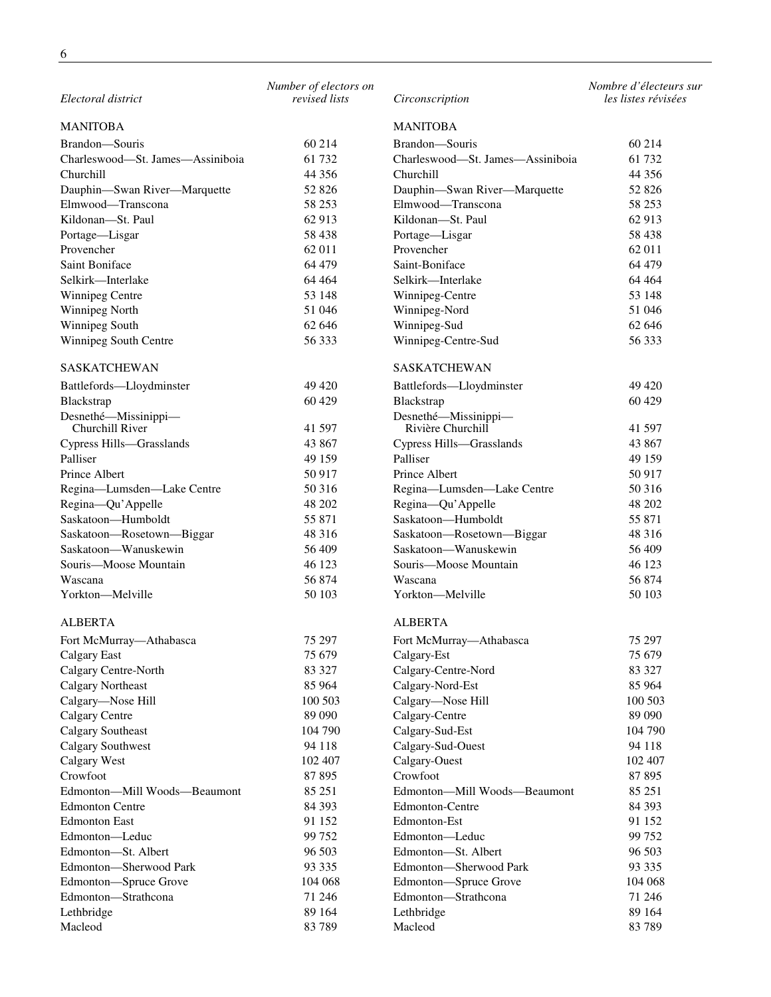| Electoral district                            | Number of electors on<br>revised lists | Circonscription                               | Nombre d'électeurs sur<br>les listes révisées |
|-----------------------------------------------|----------------------------------------|-----------------------------------------------|-----------------------------------------------|
| <b>MANITOBA</b>                               |                                        | <b>MANITOBA</b>                               |                                               |
| Brandon-Souris                                | 60 214                                 | Brandon-Souris                                | 60 214                                        |
| Charleswood-St. James-Assiniboia              | 61 732                                 | Charleswood-St. James-Assiniboia              | 61 732                                        |
| Churchill                                     | 44 35 6                                | Churchill                                     | 44 3 5 6                                      |
| Dauphin-Swan River-Marquette                  | 52 826                                 | Dauphin-Swan River-Marquette                  | 52 826                                        |
| Elmwood-Transcona                             | 58 253                                 | Elmwood-Transcona                             | 58 253                                        |
| Kildonan-St. Paul                             | 62 913                                 | Kildonan-St. Paul                             | 62 913                                        |
| Portage-Lisgar                                | 58 438                                 | Portage-Lisgar                                | 58 438                                        |
| Provencher                                    | 62 011                                 | Provencher                                    | 62 011                                        |
| Saint Boniface                                | 64 479                                 | Saint-Boniface                                | 64 479                                        |
| Selkirk-Interlake                             | 64 4 64                                | Selkirk-Interlake                             | 64 4 64                                       |
| <b>Winnipeg Centre</b>                        | 53 148                                 | Winnipeg-Centre                               | 53 148                                        |
| Winnipeg North                                | 51 046                                 | Winnipeg-Nord                                 | 51 046                                        |
| Winnipeg South                                | 62 646                                 | Winnipeg-Sud                                  | 62 646                                        |
| Winnipeg South Centre                         | 56 333                                 | Winnipeg-Centre-Sud                           | 56 333                                        |
| <b>SASKATCHEWAN</b>                           |                                        | <b>SASKATCHEWAN</b>                           |                                               |
| Battlefords-Lloydminster                      | 49 4 20                                | Battlefords-Lloydminster                      | 49 4 20                                       |
| Blackstrap                                    | 60 429                                 | Blackstrap                                    | 60 429                                        |
| Desnethé-Missinippi-                          |                                        | Desnethé-Missinippi-                          |                                               |
| Churchill River                               | 41 597                                 | Rivière Churchill                             | 41 597                                        |
| Cypress Hills-Grasslands                      | 43 867                                 | Cypress Hills-Grasslands                      | 43 867                                        |
| Palliser                                      | 49 159                                 | Palliser                                      | 49 159                                        |
| Prince Albert                                 | 50 917                                 | Prince Albert                                 | 50 917                                        |
| Regina-Lumsden-Lake Centre                    | 50 316                                 | Regina-Lumsden-Lake Centre                    | 50 316                                        |
| Regina-Qu'Appelle                             | 48 202                                 | Regina-Qu'Appelle                             | 48 202                                        |
| Saskatoon-Humboldt                            | 55 871                                 | Saskatoon-Humboldt                            | 55 871                                        |
| Saskatoon-Rosetown-Biggar                     | 48 316                                 | Saskatoon-Rosetown-Biggar                     | 48 316                                        |
| Saskatoon-Wanuskewin                          | 56 409                                 | Saskatoon-Wanuskewin                          | 56 409                                        |
| Souris-Moose Mountain                         | 46 123                                 | Souris-Moose Mountain                         | 46 123                                        |
| Wascana                                       | 56 874                                 | Wascana                                       | 56 874                                        |
| Yorkton-Melville                              | 50 103                                 | Yorkton-Melville                              | 50 103                                        |
| <b>ALBERTA</b>                                |                                        | <b>ALBERTA</b>                                |                                               |
| Fort McMurray-Athabasca                       | 75 297                                 | Fort McMurray-Athabasca                       | 75 297                                        |
| <b>Calgary East</b>                           | 75 679                                 | Calgary-Est                                   | 75 679                                        |
| Calgary Centre-North                          | 83 327                                 | Calgary-Centre-Nord                           | 83 327                                        |
| <b>Calgary Northeast</b>                      | 85 964                                 | Calgary-Nord-Est                              | 85 964                                        |
| Calgary-Nose Hill                             | 100 503                                | Calgary-Nose Hill                             | 100 503                                       |
| Calgary Centre                                | 89 090                                 | Calgary-Centre                                | 89 090                                        |
| <b>Calgary Southeast</b>                      | 104 790                                | Calgary-Sud-Est                               | 104 790                                       |
| <b>Calgary Southwest</b>                      | 94 118                                 | Calgary-Sud-Ouest                             | 94 118                                        |
| Calgary West                                  | 102 407                                | Calgary-Ouest                                 | 102 407                                       |
| Crowfoot                                      | 87 895                                 | Crowfoot                                      | 87 895                                        |
| Edmonton-Mill Woods-Beaumont                  | 85 251                                 | Edmonton-Mill Woods-Beaumont                  | 85 251                                        |
| <b>Edmonton Centre</b>                        | 84 393                                 | Edmonton-Centre                               | 84 393                                        |
| <b>Edmonton East</b>                          | 91 152                                 | Edmonton-Est                                  | 91 152                                        |
| Edmonton-Leduc                                | 99 752                                 | Edmonton-Leduc                                | 99 752                                        |
| Edmonton-St. Albert<br>Edmonton-Sherwood Park | 96 503<br>93 3 35                      | Edmonton-St. Albert<br>Edmonton-Sherwood Park | 96 503<br>93 3 35                             |
|                                               | 104 068                                |                                               | 104 068                                       |
| Edmonton-Spruce Grove<br>Edmonton-Strathcona  | 71 246                                 | Edmonton-Spruce Grove<br>Edmonton-Strathcona  | 71 246                                        |
| Lethbridge                                    | 89 164                                 | Lethbridge                                    | 89 164                                        |
| Macleod                                       | 83 789                                 | Macleod                                       | 83 789                                        |
|                                               |                                        |                                               |                                               |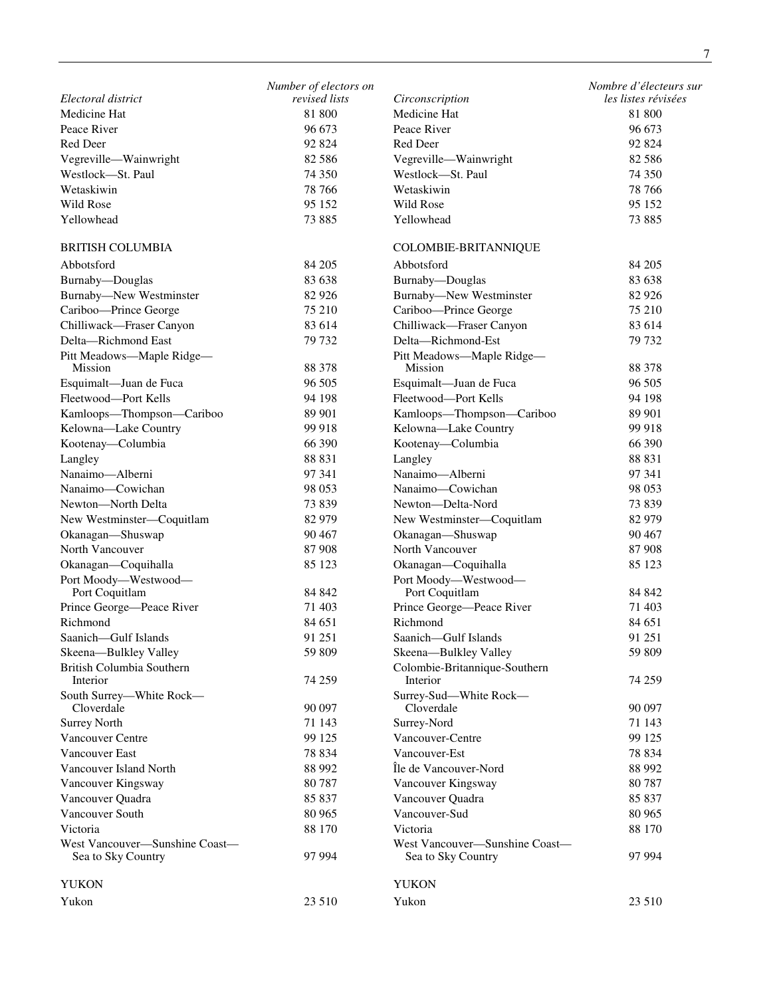|                                                      | Number of electors on |                                                      | Nombre d'électeurs sur |
|------------------------------------------------------|-----------------------|------------------------------------------------------|------------------------|
| Electoral district                                   | revised lists         | Circonscription                                      | les listes révisées    |
| Medicine Hat                                         | 81 800                | Medicine Hat                                         | 81 800                 |
| Peace River                                          | 96 673                | Peace River                                          | 96 673                 |
| Red Deer                                             | 92 824                | Red Deer                                             | 92 824                 |
| Vegreville-Wainwright                                | 82 5 86               | Vegreville-Wainwright                                | 82 5 8 6               |
| Westlock-St. Paul                                    | 74 350                | Westlock-St. Paul                                    | 74 350                 |
| Wetaskiwin                                           | 78 766                | Wetaskiwin                                           | 78 766                 |
| Wild Rose                                            | 95 152                | Wild Rose                                            | 95 152                 |
| Yellowhead                                           | 73 885                | Yellowhead                                           | 73 885                 |
| <b>BRITISH COLUMBIA</b>                              |                       | COLOMBIE-BRITANNIQUE                                 |                        |
| Abbotsford                                           | 84 205                | Abbotsford                                           | 84 205                 |
| Burnaby-Douglas                                      | 83 638                | Burnaby-Douglas                                      | 83 638                 |
| <b>Burnaby-New Westminster</b>                       | 82 9 26               | <b>Burnaby-New Westminster</b>                       | 82 9 26                |
| Cariboo-Prince George                                | 75 210                | Cariboo-Prince George                                | 75 210                 |
| Chilliwack-Fraser Canyon                             | 83 614                | Chilliwack-Fraser Canyon                             | 83 614                 |
| Delta-Richmond East                                  | 79 732                | Delta-Richmond-Est                                   | 79 732                 |
| Pitt Meadows-Maple Ridge-                            |                       | Pitt Meadows-Maple Ridge-                            |                        |
| Mission                                              | 88 378                | Mission                                              | 88 378                 |
| Esquimalt-Juan de Fuca                               | 96 505                | Esquimalt—Juan de Fuca                               | 96 505                 |
| Fleetwood-Port Kells                                 | 94 198                | Fleetwood-Port Kells                                 | 94 198                 |
| Kamloops-Thompson-Cariboo                            | 89 901                | Kamloops-Thompson-Cariboo                            | 89 901                 |
| Kelowna-Lake Country                                 | 99 918                | Kelowna-Lake Country                                 | 99 918                 |
| Kootenay-Columbia                                    | 66 390                | Kootenay-Columbia                                    | 66 390                 |
| Langley                                              | 88 831                | Langley                                              | 88 831                 |
| Nanaimo-Alberni                                      | 97 341                | Nanaimo-Alberni                                      | 97 341                 |
| Nanaimo-Cowichan                                     | 98 053                | Nanaimo-Cowichan                                     | 98 053                 |
| Newton-North Delta                                   | 73 839                | Newton-Delta-Nord                                    | 73 839                 |
| New Westminster-Coquitlam                            | 82 979                | New Westminster-Coquitlam                            | 82 979                 |
| Okanagan-Shuswap                                     | 90 467                | Okanagan-Shuswap                                     | 90 467                 |
| North Vancouver                                      | 87 908                | North Vancouver                                      | 87 908                 |
| Okanagan-Coquihalla                                  | 85 123                | Okanagan-Coquihalla                                  | 85 123                 |
| Port Moody-Westwood-                                 |                       | Port Moody-Westwood-                                 |                        |
| Port Coquitlam                                       | 84 842                | Port Coquitlam                                       | 84 842                 |
| Prince George-Peace River                            | 71 403                | Prince George-Peace River                            | 71 403                 |
| Richmond                                             | 84 651                | Richmond                                             | 84 651                 |
| Saanich-Gulf Islands                                 | 91 251                | Saanich-Gulf Islands                                 | 91 251                 |
| Skeena-Bulkley Valley                                | 59 809                | Skeena-Bulkley Valley                                | 59 809                 |
| British Columbia Southern                            |                       | Colombie-Britannique-Southern                        |                        |
| Interior                                             | 74 259                | Interior                                             | 74 259                 |
| South Surrey-White Rock-<br>Cloverdale               | 90 097                | Surrey-Sud-White Rock-<br>Cloverdale                 | 90 097                 |
| <b>Surrey North</b>                                  | 71 143                | Surrey-Nord                                          | 71 143                 |
| Vancouver Centre                                     | 99 125                | Vancouver-Centre                                     | 99 125                 |
| <b>Vancouver East</b>                                | 78 834                | Vancouver-Est                                        | 78 834                 |
| Vancouver Island North                               | 88 992                | Île de Vancouver-Nord                                | 88 992                 |
| Vancouver Kingsway                                   | 80787                 | Vancouver Kingsway                                   | 80 7 87                |
| Vancouver Quadra                                     | 85 837                | Vancouver Quadra                                     | 85 837                 |
| Vancouver South                                      |                       |                                                      |                        |
| Victoria                                             | 80 965                | Vancouver-Sud<br>Victoria                            | 80 965                 |
|                                                      | 88 170                |                                                      | 88 170                 |
| West Vancouver-Sunshine Coast-<br>Sea to Sky Country | 97 994                | West Vancouver-Sunshine Coast-<br>Sea to Sky Country | 97 994                 |
| <b>YUKON</b>                                         |                       | <b>YUKON</b>                                         |                        |
| Yukon                                                | 23 510                | Yukon                                                | 23 510                 |
|                                                      |                       |                                                      |                        |

7